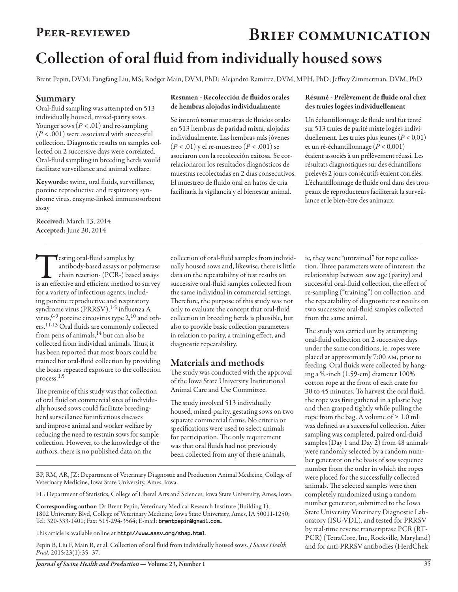# PEER-REVIEWED BRIEF COMMUNICATION Collection of oral fluid from individually housed sows

Brent Pepin, DVM; Fangfang Liu, MS; Rodger Main, DVM, PhD; Alejandro Ramirez, DVM, MPH, PhD; Jeffrey Zimmerman, DVM, PhD

#### Summary

Oral-fluid sampling was attempted on 513 individually housed, mixed-parity sows. Younger sows  $(P < .01)$  and re-sampling (*P* < .001) were associated with successful collection. Diagnostic results on samples collected on 2 successive days were correlated. Oral-fluid sampling in breeding herds would facilitate surveillance and animal welfare.

Keywords: swine, oral fluids, surveillance, porcine reproductive and respiratory syndrome virus, enzyme-linked immunosorbent assay

Received: March 13, 2014 Accepted: June 30, 2014

**Testing oral-fluid samples by**<br>
antibody-based assays or polymerase<br>
chain reaction-(PCR-) based assays<br>
is an effective and efficient method to survey antibody-based assays or polymerase chain reaction- (PCR-) based assays for a variety of infectious agents, including porcine reproductive and respiratory syndrome virus (PRRSV),<sup>1-5</sup> influenza A virus, 6-9 porcine circovirus type 2,<sup>10</sup> and others.11-13 Oral fluids are commonly collected from pens of animals,<sup>14</sup> but can also be collected from individual animals. Thus, it has been reported that most boars could be trained for oral-fluid collection by providing the boars repeated exposure to the collection process.1,5

The premise of this study was that collection of oral fluid on commercial sites of individually housed sows could facilitate breedingherd surveillance for infectious diseases and improve animal and worker welfare by reducing the need to restrain sows for sample collection. However, to the knowledge of the authors, there is no published data on the

#### Resumen - Recolección de fluidos orales de hembras alojadas individualmente

Se intentó tomar muestras de fluidos orales en 513 hembras de paridad mixta, alojadas individualmente. Las hembras más jóvenes (*P* < .01) y el re-muestreo (*P* < .001) se asociaron con la recolección exitosa. Se correlacionaron los resultados diagnósticos de muestras recolectadas en 2 días consecutivos. El muestreo de fluido oral en hatos de cría facilitaría la vigilancia y el bienestar animal.

#### Résumé - Prélèvement de fluide oral chez des truies logées individuellement

Un échantillonnage de fluide oral fut tenté sur 513 truies de parité mixte logées individuellement. Les truies plus jeunes (*P* < 0,01) et un ré-échantillonnage (*P* < 0,001) étaient associés à un prélèvement réussi. Les résultats diagnostiques sur des échantillons prélevés 2 jours consécutifs étaient corrélés. L'échantillonnage de fluide oral dans des troupeaux de reproducteurs faciliterait la surveillance et le bien-être des animaux.

collection of oral-fluid samples from individually housed sows and, likewise, there is little data on the repeatability of test results on successive oral-fluid samples collected from the same individual in commercial settings. Therefore, the purpose of this study was not only to evaluate the concept that oral-fluid collection in breeding herds is plausible, but also to provide basic collection parameters in relation to parity, a training effect, and diagnostic repeatability.

## Materials and methods

The study was conducted with the approval of the Iowa State University Institutional Animal Care and Use Committee.

The study involved 513 individually housed, mixed-parity, gestating sows on two separate commercial farms. No criteria or specifications were used to select animals for participation. The only requirement was that oral fluids had not previously been collected from any of these animals,

BP, RM, AR, JZ: Department of Veterinary Diagnostic and Production Animal Medicine, College of Veterinary Medicine, Iowa State University, Ames, Iowa.

FL: Department of Statistics, College of Liberal Arts and Sciences, Iowa State University, Ames, Iowa.

Corresponding author: Dr Brent Pepin, Veterinary Medical Research Institute (Building 1), 1802 University Blvd, College of Veterinary Medicine, Iowa State University, Ames, IA 50011-1250; Tel: 320-333-1401; Fax: 515-294-3564; E-mail: brentpepin@gmail.com.

This article is available online at http://www.aasv.org/shap.html.

Pepin B, Liu F, Main R, et al. Collection of oral fluid from individually housed sows. *J Swine Health Prod.* 2015;23(1):35–37.

*Journal of Swine Health and Production*— Volume 23, Number 1 35

ie, they were "untrained" for rope collection. Three parameters were of interest: the relationship between sow age (parity) and successful oral-fluid collection, the effect of re-sampling ("training") on collection, and the repeatability of diagnostic test results on two successive oral-fluid samples collected from the same animal.

The study was carried out by attempting oral-fluid collection on 2 successive days under the same conditions, ie, ropes were placed at approximately 7:00 am, prior to feeding. Oral fluids were collected by hanging a ⅝ -inch (1.59-cm) diameter 100% cotton rope at the front of each crate for 30 to 45 minutes. To harvest the oral fluid, the rope was first gathered in a plastic bag and then grasped tightly while pulling the rope from the bag. A volume of  $\geq 1.0$  mL was defined as a successful collection. After sampling was completed, paired oral-fluid samples (Day 1 and Day 2) from 48 animals were randomly selected by a random number generator on the basis of sow sequence number from the order in which the ropes were placed for the successfully collected animals. The selected samples were then completely randomized using a random number generator, submitted to the Iowa State University Veterinary Diagnostic Laboratory (ISU-VDL), and tested for PRRSV by real-time reverse transcriptase PCR (RT-PCR) (TetraCore, Inc, Rockville, Maryland) and for anti-PRRSV antibodies (HerdChek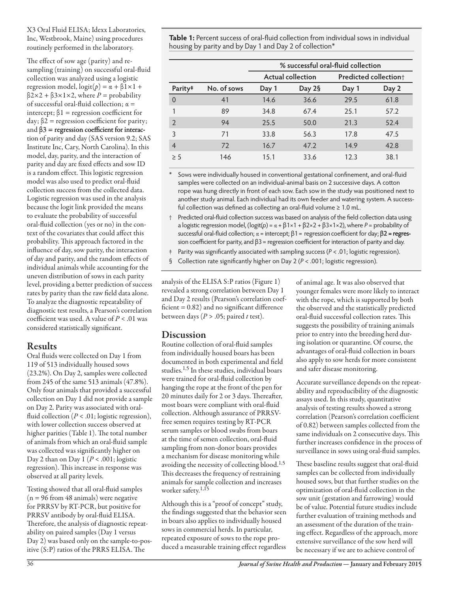X3 Oral Fluid ELISA; Idexx Laboratories, Inc, Westbrook, Maine) using procedures routinely performed in the laboratory.

The effect of sow age (parity) and resampling (training) on successful oral-fluid collection was analyzed using a logistic regression model,  $logit(p) = \alpha + \beta 1 \times 1 +$ β2×2 + β3×1×2, where *P* = probability of successful oral-fluid collection;  $\alpha$  = intercept;  $\beta$ 1 = regression coefficient for  $day$ ;  $β2$  = regression coefficient for parity; and  $\beta$ 3 = regression coefficient for interaction of parity and day (SAS version 9.2; SAS Institute Inc, Cary, North Carolina). In this model, day, parity, and the interaction of parity and day are fixed effects and sow ID is a random effect. This logistic regression model was also used to predict oral-fluid collection success from the collected data. Logistic regression was used in the analysis because the logit link provided the means to evaluate the probability of successful oral-fluid collection (yes or no) in the context of the covariates that could affect this probability. This approach factored in the influence of day, sow parity, the interaction of day and parity, and the random effects of individual animals while accounting for the uneven distribution of sows in each parity level, providing a better prediction of success rates by parity than the raw field data alone. To analyze the diagnostic repeatability of diagnostic test results, a Pearson's correlation coefficient was used. A value of *P* < .01 was considered statistically significant.

## Results

Oral fluids were collected on Day 1 from 119 of 513 individually housed sows (23.2%). On Day 2, samples were collected from 245 of the same 513 animals (47.8%). Only four animals that provided a successful collection on Day 1 did not provide a sample on Day 2. Parity was associated with oralfluid collection  $(P < .01;$  logistic regression), with lower collection success observed at higher parities (Table 1). The total number of animals from which an oral-fluid sample was collected was significantly higher on Day 2 than on Day 1 (*P* < .001; logistic regression). This increase in response was observed at all parity levels.

Testing showed that all oral-fluid samples  $(n = 96$  from 48 animals) were negative for PRRSV by RT-PCR, but positive for PRRSV antibody by oral-fluid ELISA. Therefore, the analysis of diagnostic repeatability on paired samples (Day 1 versus Day 2) was based only on the sample-to-positive (S:P) ratios of the PRRS ELISA. The

**Table 1:** Percent success of oral-fluid collection from individual sows in individual housing by parity and by Day 1 and Day 2 of collection\*

|                     |             | % successful oral-fluid collection |        |                                   |       |
|---------------------|-------------|------------------------------------|--------|-----------------------------------|-------|
|                     |             | <b>Actual collection</b>           |        | Predicted collection <sup>+</sup> |       |
| Parity <sup>#</sup> | No. of sows | Day 1                              | Day 2§ | Day 1                             | Day 2 |
| $\Omega$            | 41          | 14.6                               | 36.6   | 29.5                              | 61.8  |
|                     | 89          | 34.8                               | 67.4   | 25.1                              | 57.2  |
| $\mathcal{P}$       | 94          | 25.5                               | 50.0   | 21.3                              | 52.4  |
| 3                   | 71          | 33.8                               | 56.3   | 17.8                              | 47.5  |
| $\overline{4}$      | 72          | 16.7                               | 47.2   | 14.9                              | 42.8  |
| > 5                 | 146         | 15.1                               | 33.6   | 12.3                              | 38.1  |

Sows were individually housed in conventional gestational confinement, and oral-fluid samples were collected on an individual-animal basis on 2 successive days. A cotton rope was hung directly in front of each sow. Each sow in the study was positioned next to another study animal. Each individual had its own feeder and watering system. A successful collection was defined as collecting an oral-fluid volume ≥ 1.0 mL.

- † Predicted oral-fluid collection success was based on analysis of the field collection data using a logistic regression model, (logit(*p*) = α + β1×1 + β2×2 + β3×1×2), where *P* = probability of successful oral-fluid collection;  $\alpha$  = intercept;  $\beta$ 1 = regression coefficient for day;  $\beta$ 2 = regression coefficient for parity, and  $β3$  = regression coefficient for interaction of parity and day.
- ‡ Parity was significantly associated with sampling success (*P* < .01; logistic regression).
- § Collection rate significantly higher on Day 2 (*P* < .001; logistic regression).

analysis of the ELISA S:P ratios (Figure 1) revealed a strong correlation between Day 1 and Day 2 results (Pearson's correlation coef $ficient = 0.82$ ) and no significant difference between days (*P* > .05; paired *t* test).

## Discussion

Routine collection of oral-fluid samples from individually housed boars has been documented in both experimental and field studies.1,5 In these studies, individual boars were trained for oral-fluid collection by hanging the rope at the front of the pen for 20 minutes daily for 2 or 3 days. Thereafter, most boars were compliant with oral-fluid collection. Although assurance of PRRSVfree semen requires testing by RT-PCR serum samples or blood swabs from boars at the time of semen collection, oral-fluid sampling from non-donor boars provides a mechanism for disease monitoring while avoiding the necessity of collecting blood.<sup>1,5</sup> This decreases the frequency of restraining animals for sample collection and increases worker safety.<sup>1,15</sup>

Although this is a "proof of concept" study, the findings suggested that the behavior seen in boars also applies to individually housed sows in commercial herds. In particular, repeated exposure of sows to the rope produced a measurable training effect regardless

of animal age. It was also observed that younger females were more likely to interact with the rope, which is supported by both the observed and the statistically predicted oral-fluid successful collection rates. This suggests the possibility of training animals prior to entry into the breeding herd during isolation or quarantine. Of course, the advantages of oral-fluid collection in boars also apply to sow herds for more consistent and safer disease monitoring.

Accurate surveillance depends on the repeatability and reproducibility of the diagnostic assays used. In this study, quantitative analysis of testing results showed a strong correlation (Pearson's correlation coefficient of 0.82) between samples collected from the same individuals on 2 consecutive days. This further increases confidence in the process of surveillance in sows using oral-fluid samples.

These baseline results suggest that oral-fluid samples can be collected from individually housed sows, but that further studies on the optimization of oral-fluid collection in the sow unit (gestation and farrowing) would be of value. Potential future studies include further evaluation of training methods and an assessment of the duration of the training effect. Regardless of the approach, more extensive surveillance of the sow herd will be necessary if we are to achieve control of